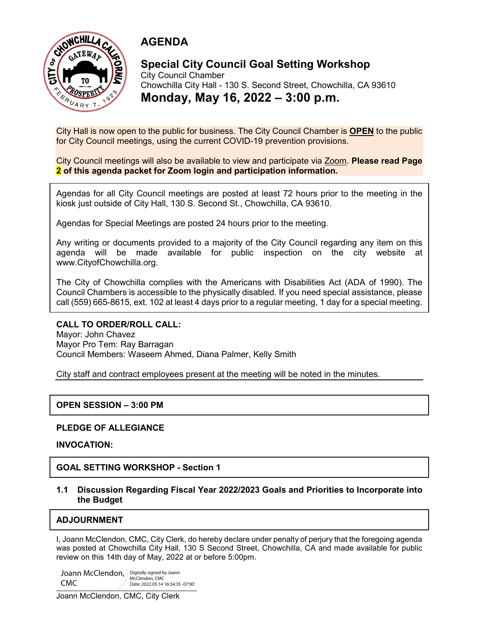



#### **Special City Council Goal Setting Workshop** City Council Chamber Chowchilla City Hall - 130 S. Second Street, Chowchilla, CA 93610

**Monday, May 16, 2022 – 3:00 p.m.**

City Hall is now open to the public for business. The City Council Chamber is **OPEN** to the public for City Council meetings, using the current COVID-19 prevention provisions.

City Council meetings will also be available to view and participate via Zoom. **Please read Page 2 of this agenda packet for Zoom login and participation information.**

Agendas for all City Council meetings are posted at least 72 hours prior to the meeting in the kiosk just outside of City Hall, 130 S. Second St., Chowchilla, CA 93610.

Agendas for Special Meetings are posted 24 hours prior to the meeting.

Any writing or documents provided to a majority of the City Council regarding any item on this agenda will be made available for public inspection on the city website at www.CityofChowchilla.org.

The City of Chowchilla complies with the Americans with Disabilities Act (ADA of 1990). The Council Chambers is accessible to the physically disabled. If you need special assistance, please call (559) 665-8615, ext. 102 at least 4 days prior to a regular meeting, 1 day for a special meeting.

### **CALL TO ORDER/ROLL CALL:**

Mayor: John Chavez Mayor Pro Tem: Ray Barragan Council Members: Waseem Ahmed, Diana Palmer, Kelly Smith

City staff and contract employees present at the meeting will be noted in the minutes.

### **OPEN SESSION – 3:00 PM**

### **PLEDGE OF ALLEGIANCE**

**INVOCATION:**

**GOAL SETTING WORKSHOP - Section 1**

#### **1.1 Discussion Regarding Fiscal Year 2022/2023 Goals and Priorities to Incorporate into the Budget**

### **ADJOURNMENT**

I, Joann McClendon, CMC, City Clerk, do hereby declare under penalty of perjury that the foregoing agenda was posted at Chowchilla City Hall, 130 S Second Street, Chowchilla, CA and made available for public review on this 14th day of May, 2022 at or before 5:00pm.

Joann McClendon, Digitally signed by Joann CMC McClendon, CMC Date: 2022.05.14 16:34:35 -07'00'

Joann McClendon, CMC, City Clerk